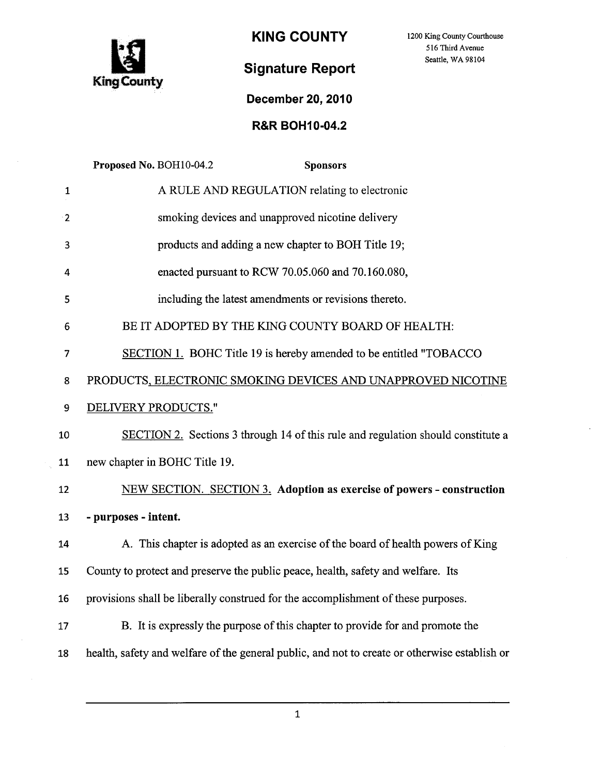

KING COUNTY 1200 King County Courthouse

516 Third Avenue Seattle, WA 98104

## Signature Report

## December 20,2010

## R&R BOH10-04.2

|                | Proposed No. BOH10-04.2<br><b>Sponsors</b>                                                    |
|----------------|-----------------------------------------------------------------------------------------------|
| 1              | A RULE AND REGULATION relating to electronic                                                  |
| $\overline{2}$ | smoking devices and unapproved nicotine delivery                                              |
| 3              | products and adding a new chapter to BOH Title 19;                                            |
| 4              | enacted pursuant to RCW 70.05.060 and 70.160.080,                                             |
| 5              | including the latest amendments or revisions thereto.                                         |
| 6              | BE IT ADOPTED BY THE KING COUNTY BOARD OF HEALTH:                                             |
| 7              | <b>SECTION 1. BOHC Title 19 is hereby amended to be entitled "TOBACCO"</b>                    |
| 8              | PRODUCTS, ELECTRONIC SMOKING DEVICES AND UNAPPROVED NICOTINE                                  |
| 9              | DELIVERY PRODUCTS."                                                                           |
| 10             | SECTION 2. Sections 3 through 14 of this rule and regulation should constitute a              |
| 11             | new chapter in BOHC Title 19.                                                                 |
| 12             | NEW SECTION. SECTION 3. Adoption as exercise of powers - construction                         |
| 13             | - purposes - intent.                                                                          |
| 14             | A. This chapter is adopted as an exercise of the board of health powers of King               |
| 15             | County to protect and preserve the public peace, health, safety and welfare. Its              |
| 16             | provisions shall be liberally construed for the accomplishment of these purposes.             |
| 17             | B. It is expressly the purpose of this chapter to provide for and promote the                 |
| 18             | health, safety and welfare of the general public, and not to create or otherwise establish or |
|                |                                                                                               |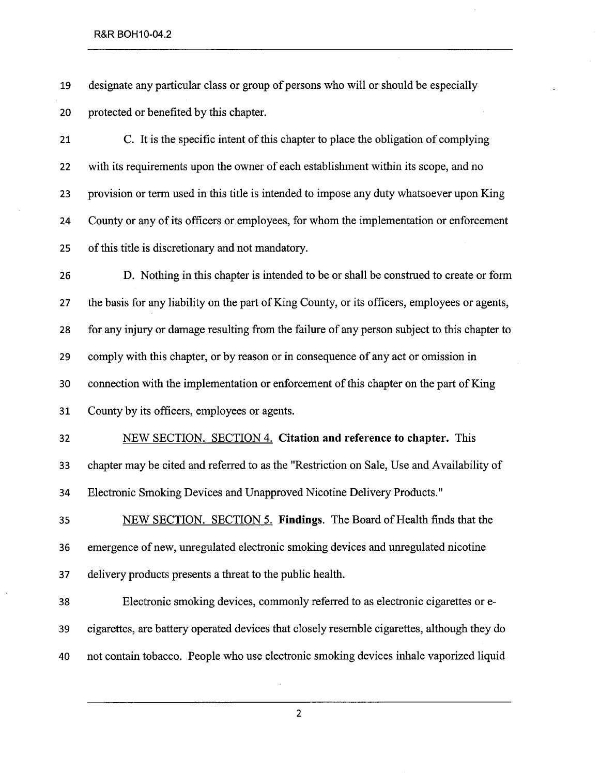19 designate any particular class or group of persons who wil or should be especially 20 protected or benefited by this chapter.

21 C. It is the specific intent of this chapter to place the obligation of complying 22 with its requirements upon the owner of each establishment within its scope, and no 23 provision or term used in this title is intended to impose any duty whatsoever upon King 24 County or any of its officers or employees, for whom the implementation or enforcement 25 of this title is discretionary and not mandatory.

26 D. Nothing in this chapter is intended to be or shall be construed to create or form 27 the basis for any liability on the part of King County, or its officers, employees or agents, 28 for any injury or damage resulting from the failure of any person subject to this chapter to 29 comply with this chapter, or by reason or in consequence of any act or omission in 30 connection with the implementation or enforcement of this chapter on the part of King 31 County by its officers, employees or agents.

32 NEW SECTION. SECTION 4. Citation and reference to chapter. This 33 chapter may be cited and referred to as the "Restriction on Sale, Use and Availability of 34 Electronic Smoking Devices and Unapproved Nicotine Delivery Products."

35 NEW SECTION. SECTION 5. Findings. The Board of Health finds that the 36 emergence of new, unregulated electronic smoking devices and unregulated nicotine 37 delivery products presents a threat to the public health.

38 Electronic smoking devices, commonly referred to as electronic cigarettes or e-39 cigarettes, are battery operated devices that closely resemble cigarettes, although they do 40 not contain tobacco. People who use electronic smoking devices inhale vaporized liquid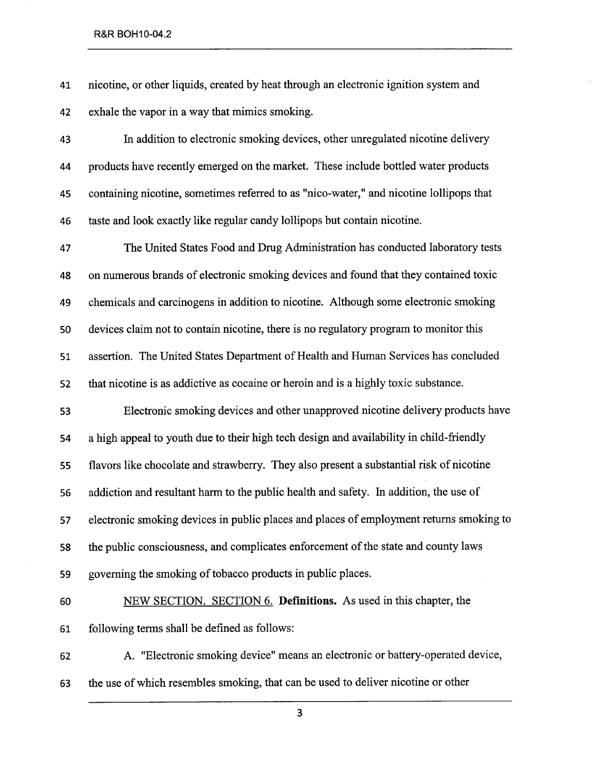41 nicotine, or other liquids, created by heat through an electronic ignition system and 42 exhale the vapor in a way that mimics smoking.

43 In addition to electronic smoking devices, other unregulated nicotine delivery 44 products have recently emerged on the market. These include bottled water products 45 containing nicotine, sometimes referred to as "nico-water," and nicotine lollpops that 46 taste and look exactly like regular candy lollpops but contain nicotine.

47 The United States Food and Drug Administration has conducted laboratory tests 48 on numerous brands of electronic smoking devices and found that they contained toxic 49 chemicals and carcinogens in addition to nicotine. Although some electronic smoking 50 devices claim not to contain nicotine, there is no regulatory program to monitor this 51 assertion. The United States Department of Health and Human Services has concluded 52 that nicotine is as addictive as cocaine or heroin and is a highly toxic substance.

53 Electronic smoking devices and other unapproved nicotine delivery products have 54 a high appeal to youth due to their high tech design and availability in child-frendly 55 flavors like chocolate and strawberry. They also present a substantial risk of nicotine 56 addiction and resultant harm to the public health and safety. In addition, the use of 57 electronic smoking devices in public places and places of employment returns smoking to 58 the public consciousness, and complicates enforcement of the state and county laws 59 governing the smoking of tobacco products in public places.

60 NEW SECTION. SECTION 6. Definitions. As used in this chapter, the 61 following terms shall be defined as follows:

62 A. "Electronic smoking device" means an electronic or battery-operated device, 63 the use of which resembles smoking, that can be used to deliver nicotine or other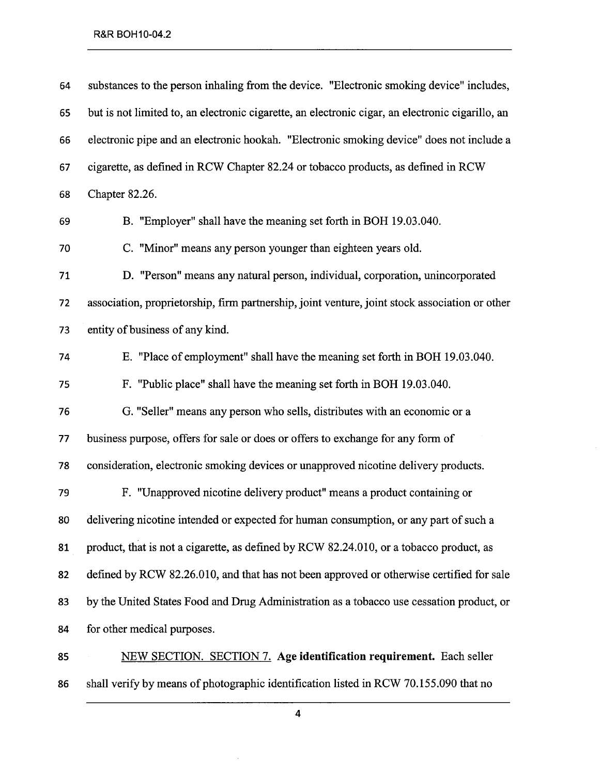| 64 | substances to the person inhaling from the device. "Electronic smoking device" includes,         |
|----|--------------------------------------------------------------------------------------------------|
| 65 | but is not limited to, an electronic cigarette, an electronic cigar, an electronic cigarillo, an |
| 66 | electronic pipe and an electronic hookah. "Electronic smoking device" does not include a         |
| 67 | cigarette, as defined in RCW Chapter 82.24 or tobacco products, as defined in RCW                |
| 68 | Chapter 82.26.                                                                                   |
| 69 | B. "Employer" shall have the meaning set forth in BOH 19.03.040.                                 |
| 70 | C. "Minor" means any person younger than eighteen years old.                                     |
| 71 | D. "Person" means any natural person, individual, corporation, unincorporated                    |
| 72 | association, proprietorship, firm partnership, joint venture, joint stock association or other   |
| 73 | entity of business of any kind.                                                                  |
| 74 | E. "Place of employment" shall have the meaning set forth in BOH 19.03.040.                      |
| 75 | F. "Public place" shall have the meaning set forth in BOH 19.03.040.                             |
| 76 | G. "Seller" means any person who sells, distributes with an economic or a                        |
| 77 | business purpose, offers for sale or does or offers to exchange for any form of                  |
| 78 | consideration, electronic smoking devices or unapproved nicotine delivery products.              |
| 79 | F. "Unapproved nicotine delivery product" means a product containing or                          |
| 80 | delivering nicotine intended or expected for human consumption, or any part of such a            |
| 81 | product, that is not a cigarette, as defined by RCW 82.24.010, or a tobacco product, as          |
| 82 | defined by RCW 82.26.010, and that has not been approved or otherwise certified for sale         |
| 83 | by the United States Food and Drug Administration as a tobacco use cessation product, or         |
| 84 | for other medical purposes.                                                                      |
| 85 | NEW SECTION. SECTION 7. Age identification requirement. Each seller                              |
| 86 | shall verify by means of photographic identification listed in RCW 70.155.090 that no            |

4

 $\hat{\mathcal{A}}$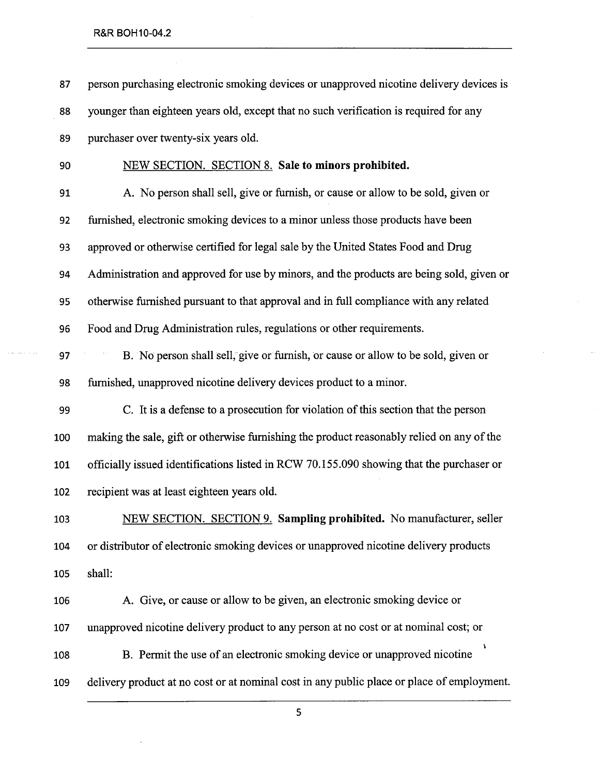87 person purchasing electronic smoking devices or unapproved nicotine delivery devices is 88 younger than eighteen years old, except that no such verification is required for any 89 purchaser over twenty-six years old.

90 NEW SECTION. SECTION 8. Sale to minors prohibited.

91 A. No person shall sell, give or furnish, or cause or allow to be sold, given or 92 fuished, electronic smoking devices to a minor unless those products have been 93 approved or otherwise certified for legal sale by the United States Food and Drug 94 Administration and approved for use by minors, and the products are being sold, given or 95 otherwise fuished pursuant to that approval and in full compliance with any related 96 Food and Drug Administration rules, regulations or other requirements.

97 B. No person shall sell, give or furnish, or cause or allow to be sold, given or 98 furnished, unapproved nicotine delivery devices product to a minor.

99 C. It is a defense to a prosecution for violation of this section that the person 100 makng the sale, gift or otherwise furnishing the product reasonably relied on any of the 101 officially issued identifications listed in RCW 70.155.090 showing that the purchaser or 102 recipient was at least eighteen years old.

103 NEW SECTION. SECTION 9. Sampling prohibited. No manufacturer, seller 104 or distrbutor of electronic smoking devices or unapproved nicotine delivery products 105 shall:

106 A. Give, or cause or allow to be given, an electronic smoking device or 107 unapproved nicotine delivery product to any person at no cost or at nominal cost; or 108 B. Permit the use of an electronic smoking device or unapproved nicotine 109 delivery product at no cost or at nominal cost in any public place or place of employment.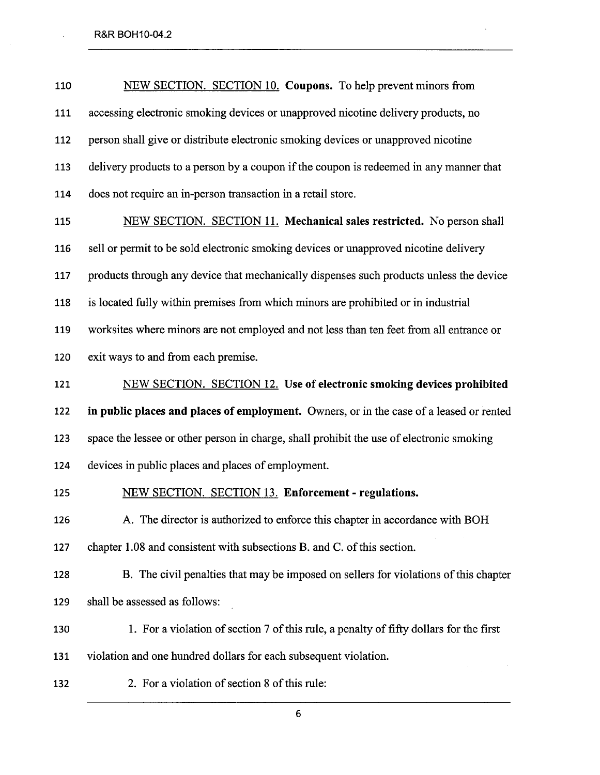l,

| 110 | NEW SECTION. SECTION 10. Coupons. To help prevent minors from                            |
|-----|------------------------------------------------------------------------------------------|
| 111 | accessing electronic smoking devices or unapproved nicotine delivery products, no        |
| 112 | person shall give or distribute electronic smoking devices or unapproved nicotine        |
| 113 | delivery products to a person by a coupon if the coupon is redeemed in any manner that   |
| 114 | does not require an in-person transaction in a retail store.                             |
| 115 | NEW SECTION. SECTION 11. Mechanical sales restricted. No person shall                    |
| 116 | sell or permit to be sold electronic smoking devices or unapproved nicotine delivery     |
| 117 | products through any device that mechanically dispenses such products unless the device  |
| 118 | is located fully within premises from which minors are prohibited or in industrial       |
| 119 | worksites where minors are not employed and not less than ten feet from all entrance or  |
| 120 | exit ways to and from each premise.                                                      |
| 121 | NEW SECTION. SECTION 12. Use of electronic smoking devices prohibited                    |
| 122 | in public places and places of employment. Owners, or in the case of a leased or rented  |
| 123 | space the lessee or other person in charge, shall prohibit the use of electronic smoking |
| 124 | devices in public places and places of employment.                                       |
| 125 | NEW SECTION. SECTION 13. Enforcement - regulations.                                      |
| 126 | A. The director is authorized to enforce this chapter in accordance with BOH             |
| 127 | chapter 1.08 and consistent with subsections B. and C. of this section.                  |
| 128 | B. The civil penalties that may be imposed on sellers for violations of this chapter     |
| 129 | shall be assessed as follows:                                                            |
| 130 | 1. For a violation of section 7 of this rule, a penalty of fifty dollars for the first   |
| 131 | violation and one hundred dollars for each subsequent violation.                         |
|     |                                                                                          |

 $\mathcal{L}^{\pm}$ 

132 2. For a violation of section 8 of this rule: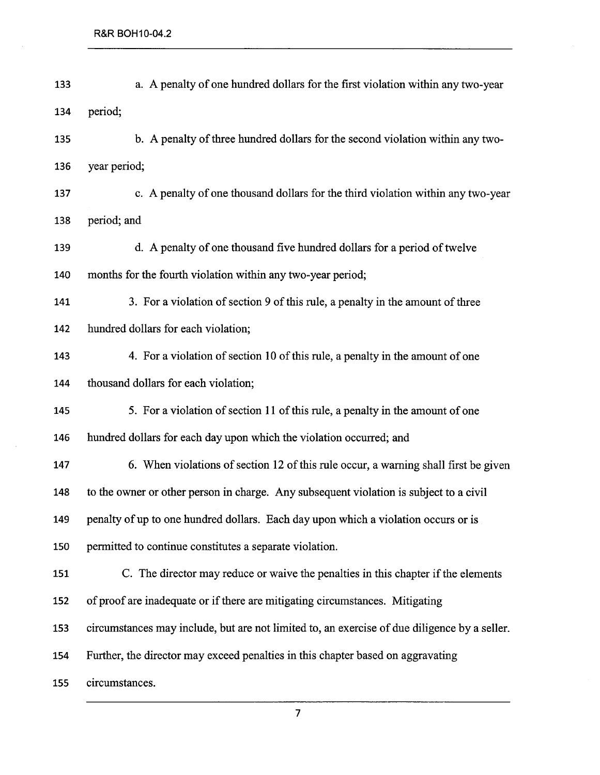| 133 | a. A penalty of one hundred dollars for the first violation within any two-year              |
|-----|----------------------------------------------------------------------------------------------|
| 134 | period;                                                                                      |
| 135 | b. A penalty of three hundred dollars for the second violation within any two-               |
| 136 | year period;                                                                                 |
| 137 | c. A penalty of one thousand dollars for the third violation within any two-year             |
| 138 | period; and                                                                                  |
| 139 | d. A penalty of one thousand five hundred dollars for a period of twelve                     |
| 140 | months for the fourth violation within any two-year period;                                  |
| 141 | 3. For a violation of section 9 of this rule, a penalty in the amount of three               |
| 142 | hundred dollars for each violation;                                                          |
| 143 | 4. For a violation of section 10 of this rule, a penalty in the amount of one                |
| 144 | thousand dollars for each violation;                                                         |
| 145 | 5. For a violation of section 11 of this rule, a penalty in the amount of one                |
| 146 | hundred dollars for each day upon which the violation occurred; and                          |
| 147 | 6. When violations of section 12 of this rule occur, a warning shall first be given          |
| 148 | to the owner or other person in charge. Any subsequent violation is subject to a civil       |
| 149 | penalty of up to one hundred dollars. Each day upon which a violation occurs or is           |
| 150 | permitted to continue constitutes a separate violation.                                      |
| 151 | C. The director may reduce or waive the penalties in this chapter if the elements            |
| 152 | of proof are inadequate or if there are mitigating circumstances. Mitigating                 |
| 153 | circumstances may include, but are not limited to, an exercise of due diligence by a seller. |
| 154 | Further, the director may exceed penalties in this chapter based on aggravating              |
| 155 | circumstances.                                                                               |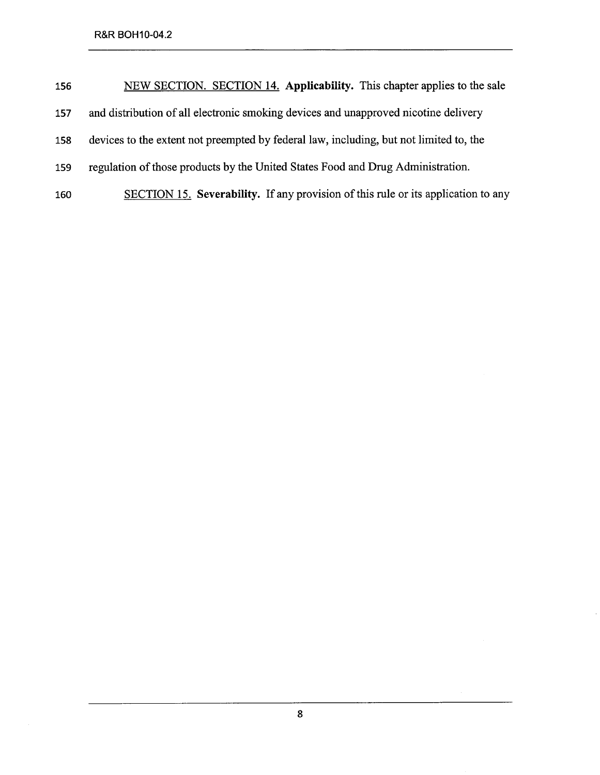| 156 | NEW SECTION. SECTION 14. Applicability. This chapter applies to the sale               |
|-----|----------------------------------------------------------------------------------------|
| 157 | and distribution of all electronic smoking devices and unapproved nicotine delivery    |
| 158 | devices to the extent not preempted by federal law, including, but not limited to, the |
| 159 | regulation of those products by the United States Food and Drug Administration.        |
| 160 | SECTION 15. Severability. If any provision of this rule or its application to any      |